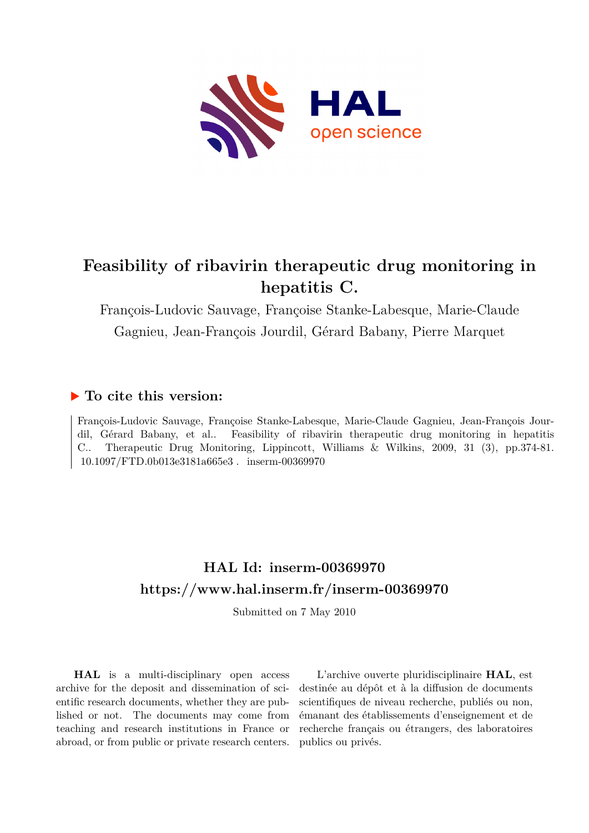

# **Feasibility of ribavirin therapeutic drug monitoring in hepatitis C.**

François-Ludovic Sauvage, Françoise Stanke-Labesque, Marie-Claude Gagnieu, Jean-François Jourdil, Gérard Babany, Pierre Marquet

### **To cite this version:**

François-Ludovic Sauvage, Françoise Stanke-Labesque, Marie-Claude Gagnieu, Jean-François Jourdil, Gérard Babany, et al.. Feasibility of ribavirin therapeutic drug monitoring in hepatitis C.. Therapeutic Drug Monitoring, Lippincott, Williams & Wilkins, 2009, 31 (3), pp.374-81.  $10.1097/FTD.0b013e3181a665e3$ . inserm-00369970

# **HAL Id: inserm-00369970 <https://www.hal.inserm.fr/inserm-00369970>**

Submitted on 7 May 2010

**HAL** is a multi-disciplinary open access archive for the deposit and dissemination of scientific research documents, whether they are published or not. The documents may come from teaching and research institutions in France or abroad, or from public or private research centers.

L'archive ouverte pluridisciplinaire **HAL**, est destinée au dépôt et à la diffusion de documents scientifiques de niveau recherche, publiés ou non, émanant des établissements d'enseignement et de recherche français ou étrangers, des laboratoires publics ou privés.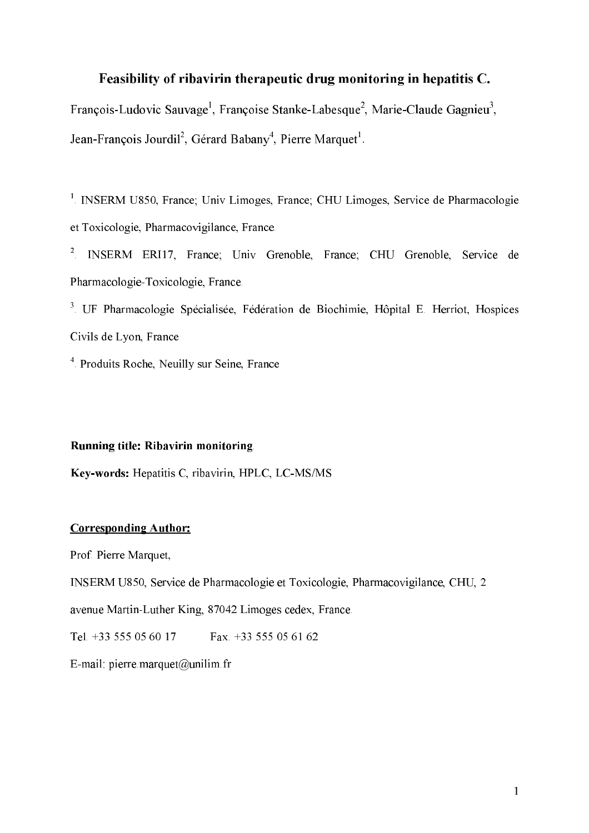#### Feasibility of ribavirin therapeutic drug monitoring in hepatitis C.

Francois-Ludovic Sauvage<sup>1</sup>, Francoise Stanke-Labesque<sup>2</sup>, Marie-Claude Gagnieu<sup>3</sup>, Jean-Francois Jourdil<sup>2</sup>, Gérard Babany<sup>4</sup>, Pierre Marquet<sup>1</sup>,

<sup>1</sup>. INSERM U850, France; Univ Limoges, France; CHU Limoges, Service de Pharmacologie et Toxicologie, Pharmacovigilance, France.

<sup>2</sup>. INSERM ERI17, France; Univ Grenoble, France; CHU Grenoble, Service de Pharmacologie-Toxicologie, France.

 . UF Pharmacologie Spécialisée, Fédération de Biochimie, Hôpital E. Herriot, Hospices Civils de Lyon, France

<sup>4</sup>. Produits Roche, Neuilly sur Seine, France

#### Running title: Ribavirin monitoring.

Key-words: Hepatitis C, ribavirin, HPLC, LC-MS/MS

#### **Corresponding Author:**

Prof. Pierre Marquet,

INSERM U850, Service de Pharmacologie et Toxicologie, Pharmacovigilance, CHU, 2

avenue Martin-Luther King, 87042 Limoges cedex, France.

Tel. +33 555 05 60 17 Fax. +33 555 05 61 62

E-mail: pierre.marquet@unilim.fr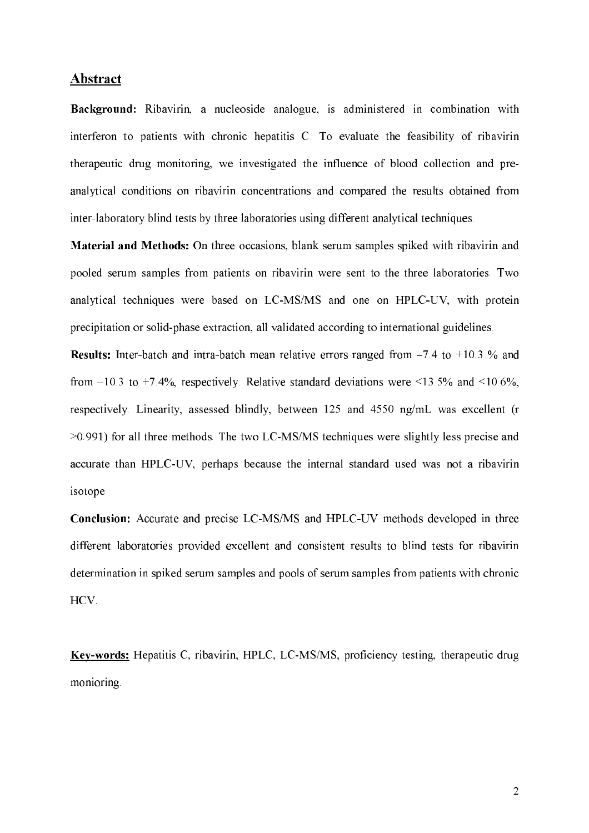#### **Abstract**

Background: Ribavirin, a nucleoside analogue, is administered in combination with interferon to patients with chronic hepatitis C. To evaluate the feasibility of ribavirin therapeutic drug monitoring, we investigated the influence of blood collection and pre) analytical conditions on ribavirin concentrations and compared the results obtained from inter-laboratory blind tests by three laboratories using different analytical techniques.

Material and Methods: On three occasions, blank serum samples spiked with ribavirin and pooled serum samples from patients on ribavirin were sent to the three laboratories. Two analytical techniques were based on LC-MS/MS and one on HPLC-UV, with protein precipitation or solid-phase extraction, all validated according to international guidelines.

**Results:** Inter-batch and intra-batch mean relative errors ranged from  $-7.4$  to  $+10.3$  % and from  $-10.3$  to  $+7.4\%$ , respectively. Relative standard deviations were  $\leq 13.5\%$  and  $\leq 10.6\%$ , respectively. Linearity, assessed blindly, between 125 and 4550 ng/mL was excellent (r >0.991) for all three methods. The two LC)MS/MS techniques were slightly less precise and accurate than HPLC-UV, perhaps because the internal standard used was not a ribavirin isotope.

Conclusion: Accurate and precise LC-MS/MS and HPLC-UV methods developed in three different laboratories provided excellent and consistent results to blind tests for ribavirin determination in spiked serum samples and pools of serum samples from patients with chronic HCV.

Key-words: Hepatitis C, ribavirin, HPLC, LC-MS/MS, proficiency testing, therapeutic drug monioring.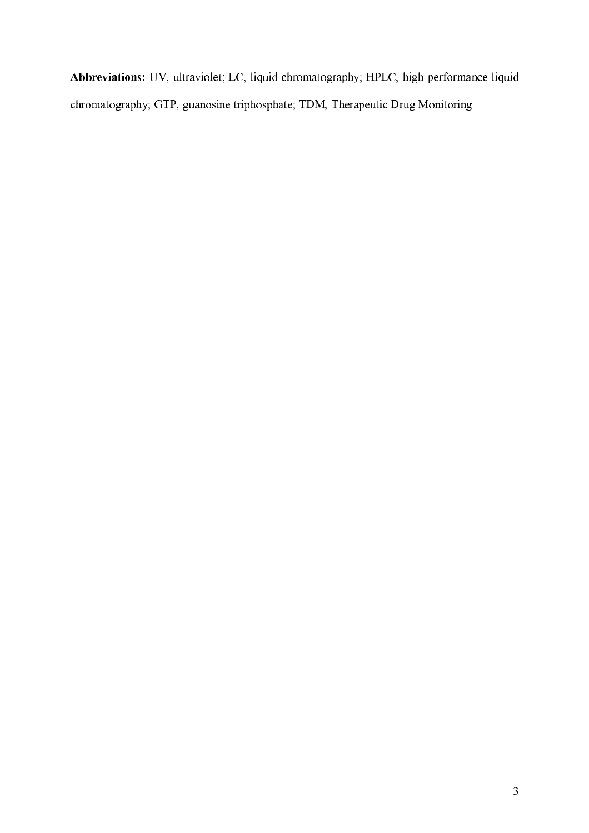Abbreviations: UV, ultraviolet; LC, liquid chromatography; HPLC, high-performance liquid chromatography; GTP, guanosine triphosphate; TDM, Therapeutic Drug Monitoring.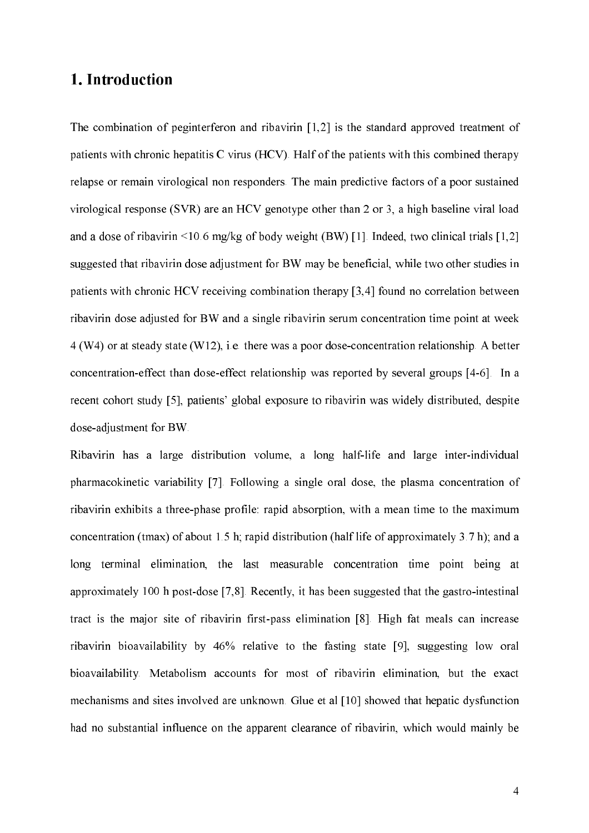# 1. Introduction

The combination of peginterferon and ribavirin [1,2] is the standard approved treatment of patients with chronic hepatitis C virus (HCV). Half of the patients with this combined therapy relapse or remain virological non responders. The main predictive factors of a poor sustained virological response (SVR) are an HCV genotype other than 2 or 3, a high baseline viral load and a dose of ribavirin  $\leq 10.6$  mg/kg of body weight (BW) [1]. Indeed, two clinical trials [1,2] suggested that ribavirin dose adjustment for BW may be beneficial, while two other studies in patients with chronic HCV receiving combination therapy [3,4] found no correlation between ribavirin dose adjusted for BW and a single ribavirin serum concentration time point at week 4 (W4) or at steady state (W12), i.e. there was a poor dose)concentration relationship. A better concentration-effect than dose-effect relationship was reported by several groups [4-6]. In a recent cohort study [5], patients' global exposure to ribavirin was widely distributed, despite dose-adjustment for BW.

Ribavirin has a large distribution volume, a long half-life and large inter-individual pharmacokinetic variability [7]. Following a single oral dose, the plasma concentration of ribavirin exhibits a three-phase profile: rapid absorption, with a mean time to the maximum concentration (tmax) of about 1.5 h; rapid distribution (half life of approximately 3.7 h); and a long terminal elimination, the last measurable concentration time point being at approximately 100 h post-dose  $[7,8]$ . Recently, it has been suggested that the gastro-intestinal tract is the major site of ribavirin first-pass elimination [8]. High fat meals can increase ribavirin bioavailability by 46% relative to the fasting state [9], suggesting low oral bioavailability. Metabolism accounts for most of ribavirin elimination, but the exact mechanisms and sites involved are unknown. Glue et al [10] showed that hepatic dysfunction had no substantial influence on the apparent clearance of ribavirin, which would mainly be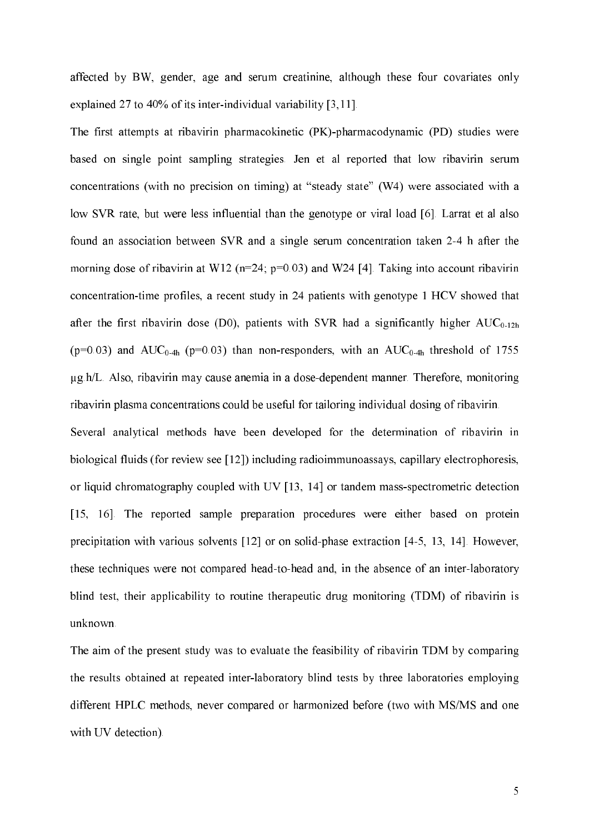affected by BW, gender, age and serum creatinine, although these four covariates only explained 27 to 40% of its inter-individual variability  $[3,11]$ .

The first attempts at ribavirin pharmacokinetic (PK)-pharmacodynamic (PD) studies were based on single point sampling strategies. Jen et al reported that low ribavirin serum concentrations (with no precision on timing) at "steady state" (W4) were associated with a low SVR rate, but were less influential than the genotype or viral load [6]. Larrat et al also found an association between SVR and a single serum concentration taken 2-4 h after the morning dose of ribavirin at W12 ( $n=24$ ;  $p=0.03$ ) and W24 [4]. Taking into account ribavirin concentration-time profiles, a recent study in 24 patients with genotype 1 HCV showed that after the first ribavirin dose (D0), patients with SVR had a significantly higher  $AUC_{0-12h}$ ( $p=0.03$ ) and AUC<sub>0-4h</sub> ( $p=0.03$ ) than non-responders, with an AUC<sub>0-4h</sub> threshold of 1755 Qg.h/L. Also, ribavirin may cause anemia in a dose)dependent manner. Therefore, monitoring ribavirin plasma concentrations could be useful for tailoring individual dosing of ribavirin. Several analytical methods have been developed for the determination of ribavirin in biological fluids (for review see [12]) including radioimmunoassays, capillary electrophoresis, or liquid chromatography coupled with UV  $[13, 14]$  or tandem mass-spectrometric detection [15, 16]. The reported sample preparation procedures were either based on protein precipitation with various solvents  $[12]$  or on solid-phase extraction  $[4-5, 13, 14]$ . However, these techniques were not compared head-to-head and, in the absence of an inter-laboratory blind test, their applicability to routine therapeutic drug monitoring (TDM) of ribavirin is unknown.

The aim of the present study was to evaluate the feasibility of ribavirin TDM by comparing the results obtained at repeated inter-laboratory blind tests by three laboratories employing different HPLC methods, never compared or harmonized before (two with MS/MS and one with UV detection).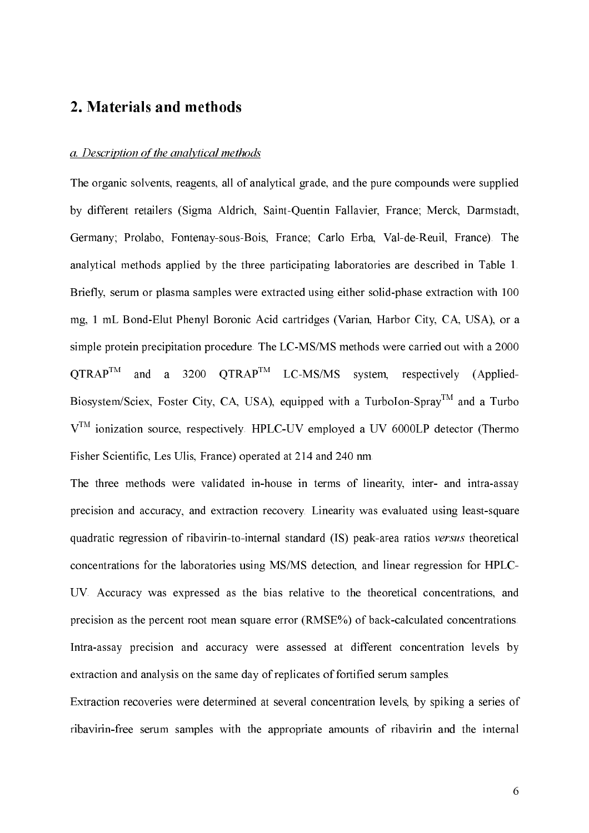# 2. Materials and methods

#### a. Description of the analytical methods

The organic solvents, reagents, all of analytical grade, and the pure compounds were supplied by different retailers (Sigma Aldrich, Saint-Quentin Fallavier, France; Merck, Darmstadt, Germany; Prolabo, Fontenay-sous-Bois, France; Carlo Erba, Val-de-Reuil, France). The analytical methods applied by the three participating laboratories are described in Table 1. Briefly, serum or plasma samples were extracted using either solid-phase extraction with 100 mg, 1 mL Bond-Elut Phenyl Boronic Acid cartridges (Varian, Harbor City, CA, USA), or a simple protein precipitation procedure. The LC-MS/MS methods were carried out with a 2000  $\mathrm{OTRAP}^{\mathrm{TM}}$  and a 3200  $\mathrm{OTRAP}^{\mathrm{TM}}$  LC-MS/MS system, respectively (Applied-Biosystem/Sciex, Foster City, CA, USA), equipped with a TurboIon-Spray<sup>TM</sup> and a Turbo  $V<sup>TM</sup>$  ionization source, respectively. HPLC-UV employed a UV 6000LP detector (Thermo Fisher Scientific, Les Ulis, France) operated at 214 and 240 nm.

The three methods were validated in-house in terms of linearity, inter- and intra-assay precision and accuracy, and extraction recovery. Linearity was evaluated using least-square quadratic regression of ribavirin-to-internal standard (IS) peak-area ratios versus theoretical concentrations for the laboratories using MS/MS detection, and linear regression for HPLC) UV. Accuracy was expressed as the bias relative to the theoretical concentrations, and precision as the percent root mean square error (RMSE%) of back-calculated concentrations. Intra-assay precision and accuracy were assessed at different concentration levels by extraction and analysis on the same day of replicates of fortified serum samples.

Extraction recoveries were determined at several concentration levels, by spiking a series of ribavirin-free serum samples with the appropriate amounts of ribavirin and the internal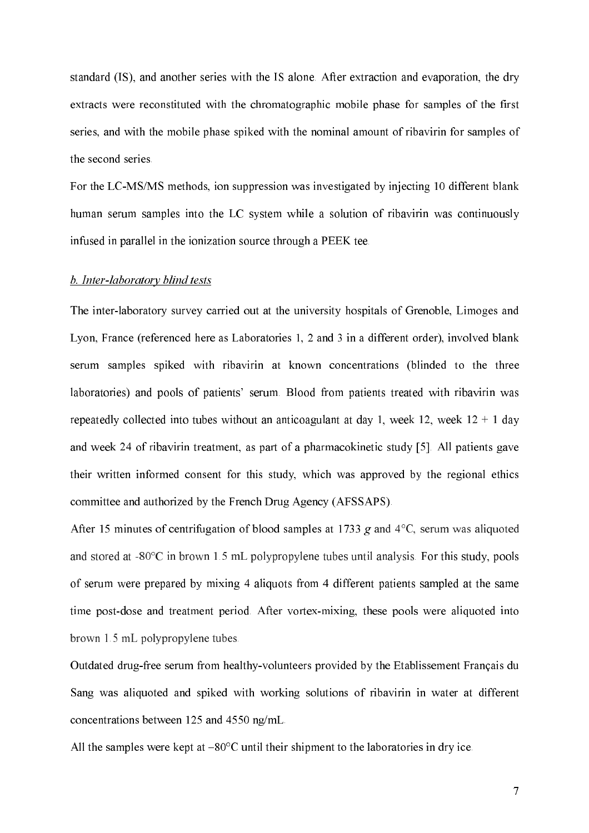standard (IS), and another series with the IS alone. After extraction and evaporation, the dry extracts were reconstituted with the chromatographic mobile phase for samples of the first series, and with the mobile phase spiked with the nominal amount of ribavirin for samples of the second series.

For the LC-MS/MS methods, ion suppression was investigated by injecting 10 different blank human serum samples into the LC system while a solution of ribavirin was continuously infused in parallel in the ionization source through a PEEK tee.

#### b. Inter-laboratory blind tests

The inter-laboratory survey carried out at the university hospitals of Grenoble, Limoges and Lyon, France (referenced here as Laboratories 1, 2 and 3 in a different order), involved blank serum samples spiked with ribavirin at known concentrations (blinded to the three laboratories) and pools of patients' serum. Blood from patients treated with ribavirin was repeatedly collected into tubes without an anticoagulant at day 1, week  $12$ , week  $12 + 1$  day and week 24 of ribavirin treatment, as part of a pharmacokinetic study [5]. All patients gave their written informed consent for this study, which was approved by the regional ethics committee and authorized by the French Drug Agency (AFSSAPS).

After 15 minutes of centrifugation of blood samples at 1733  $g$  and 4<sup>o</sup>C, serum was aliquoted and stored at  $-80^{\circ}$ C in brown 1.5 mL polypropylene tubes until analysis. For this study, pools of serum were prepared by mixing 4 aliquots from 4 different patients sampled at the same time post-dose and treatment period. After vortex-mixing, these pools were aliquoted into brown 1.5 mL polypropylene tubes.

Outdated drug-free serum from healthy-volunteers provided by the Etablissement Français du Sang was aliquoted and spiked with working solutions of ribavirin in water at different concentrations between 125 and 4550 ng/mL.

All the samples were kept at –80°C until their shipment to the laboratories in dry ice.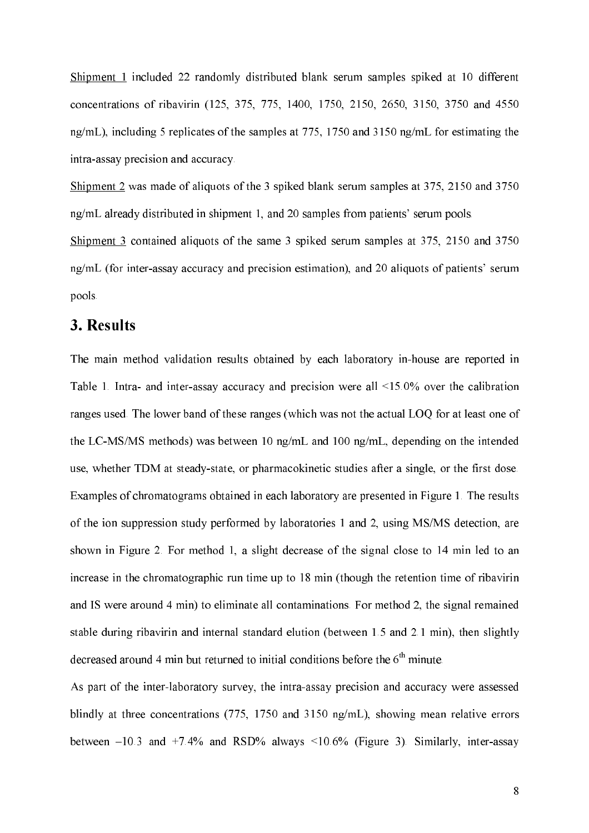Shipment 1 included 22 randomly distributed blank serum samples spiked at 10 different concentrations of ribavirin (125, 375, 775, 1400, 1750, 2150, 2650, 3150, 3750 and 4550 ng/mL), including 5 replicates of the samples at 775, 1750 and 3150 ng/mL for estimating the intra-assay precision and accuracy.

Shipment 2 was made of aliquots of the 3 spiked blank serum samples at 375, 2150 and 3750 ng/mL already distributed in shipment 1, and 20 samples from patients' serum pools.

Shipment 3 contained aliquots of the same 3 spiked serum samples at 375, 2150 and 3750 ng/mL (for inter-assay accuracy and precision estimation), and 20 aliquots of patients' serum pools.

## 3. Results

The main method validation results obtained by each laboratory in-house are reported in Table 1. Intra- and inter-assay accuracy and precision were all  $\leq 15.0\%$  over the calibration ranges used. The lower band of these ranges (which was not the actual LOQ for at least one of the LC)MS/MS methods) was between 10 ng/mL and 100 ng/mL, depending on the intended use, whether TDM at steady-state, or pharmacokinetic studies after a single, or the first dose. Examples of chromatograms obtained in each laboratory are presented in Figure 1. The results of the ion suppression study performed by laboratories 1 and 2, using MS/MS detection, are shown in Figure 2. For method 1, a slight decrease of the signal close to 14 min led to an increase in the chromatographic run time up to 18 min (though the retention time of ribavirin and IS were around 4 min) to eliminate all contaminations. For method 2, the signal remained stable during ribavirin and internal standard elution (between 1.5 and 2.1 min), then slightly decreased around 4 min but returned to initial conditions before the  $6<sup>th</sup>$  minute.

As part of the inter-laboratory survey, the intra-assay precision and accuracy were assessed blindly at three concentrations (775, 1750 and 3150 ng/mL), showing mean relative errors between  $-10.3$  and  $+7.4\%$  and RSD% always  $\leq 10.6\%$  (Figure 3). Similarly, inter-assay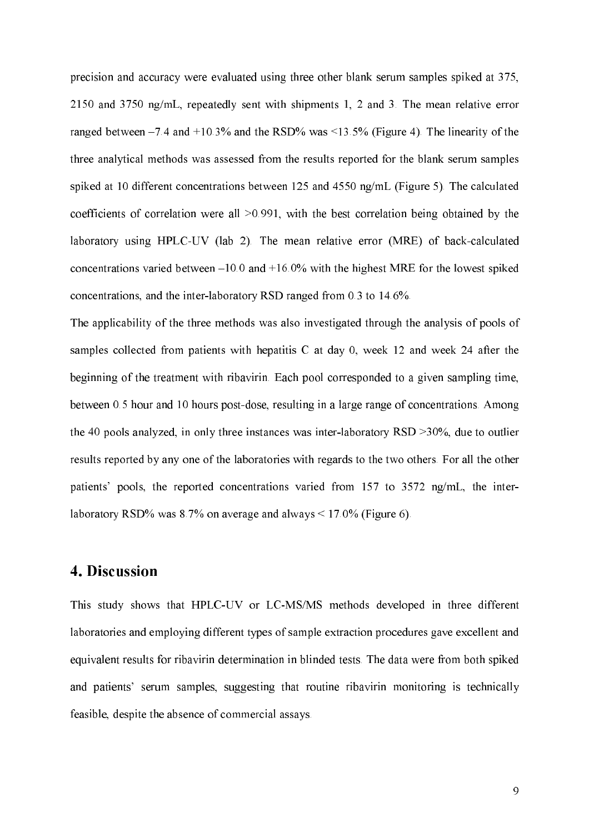precision and accuracy were evaluated using three other blank serum samples spiked at 375, 2150 and 3750 ng/mL, repeatedly sent with shipments 1, 2 and 3. The mean relative error ranged between  $-7.4$  and  $+10.3\%$  and the RSD% was  $\leq 13.5\%$  (Figure 4). The linearity of the three analytical methods was assessed from the results reported for the blank serum samples spiked at 10 different concentrations between 125 and 4550 ng/mL (Figure 5). The calculated coefficients of correlation were all >0.991, with the best correlation being obtained by the laboratory using HPLC-UV (lab 2). The mean relative error (MRE) of back-calculated concentrations varied between  $-10.0$  and  $+16.0\%$  with the highest MRE for the lowest spiked concentrations, and the inter-laboratory RSD ranged from  $0.3$  to  $14.6\%$ .

The applicability of the three methods was also investigated through the analysis of pools of samples collected from patients with hepatitis C at day 0, week 12 and week 24 after the beginning of the treatment with ribavirin. Each pool corresponded to a given sampling time, between 0.5 hour and 10 hours post-dose, resulting in a large range of concentrations. Among the 40 pools analyzed, in only three instances was inter-laboratory RSD  $>30\%$ , due to outlier results reported by any one of the laboratories with regards to the two others. For all the other patients' pools, the reported concentrations varied from 157 to 3572 ng/mL, the interlaboratory RSD% was 8.7% on average and always  $\leq 17.0\%$  (Figure 6).

## 4. Discussion

This study shows that HPLC-UV or LC-MS/MS methods developed in three different laboratories and employing different types of sample extraction procedures gave excellent and equivalent results for ribavirin determination in blinded tests. The data were from both spiked and patients' serum samples, suggesting that routine ribavirin monitoring is technically feasible, despite the absence of commercial assays.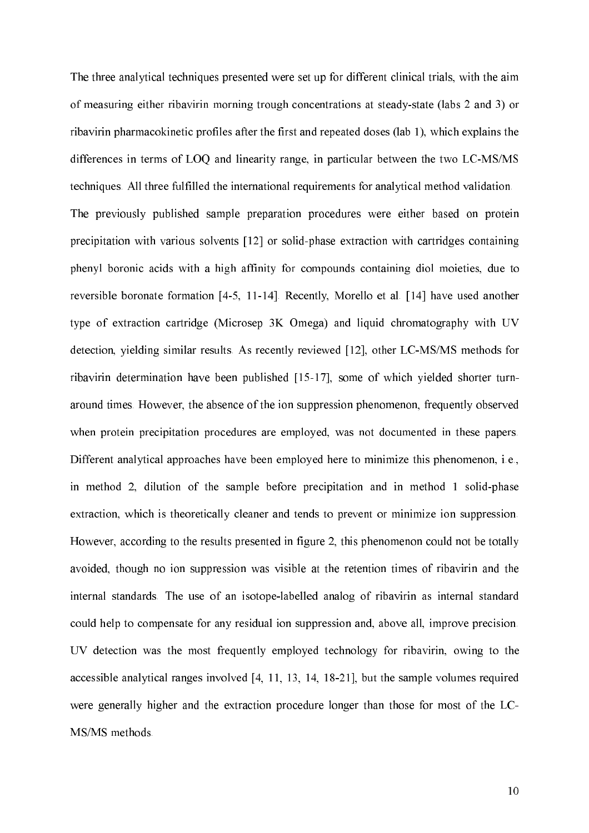The three analytical techniques presented were set up for different clinical trials, with the aim of measuring either ribavirin morning trough concentrations at steady-state (labs 2 and 3) or ribavirin pharmacokinetic profiles after the first and repeated doses (lab 1), which explains the differences in terms of LOQ and linearity range, in particular between the two LC-MS/MS techniques. All three fulfilled the international requirements for analytical method validation. The previously published sample preparation procedures were either based on protein precipitation with various solvents  $[12]$  or solid-phase extraction with cartridges containing phenyl boronic acids with a high affinity for compounds containing diol moieties, due to reversible boronate formation  $[4-5, 11-14]$ . Recently, Morello et al.  $[14]$  have used another type of extraction cartridge (Microsep 3K Omega) and liquid chromatography with UV detection, yielding similar results. As recently reviewed [12], other LC-MS/MS methods for ribavirin determination have been published [15-17], some of which yielded shorter turnaround times. However, the absence of the ion suppression phenomenon, frequently observed when protein precipitation procedures are employed, was not documented in these papers. Different analytical approaches have been employed here to minimize this phenomenon, i.e., in method 2, dilution of the sample before precipitation and in method 1 solid-phase extraction, which is theoretically cleaner and tends to prevent or minimize ion suppression. However, according to the results presented in figure 2, this phenomenon could not be totally avoided, though no ion suppression was visible at the retention times of ribavirin and the internal standards. The use of an isotope-labelled analog of ribavirin as internal standard could help to compensate for any residual ion suppression and, above all, improve precision. UV detection was the most frequently employed technology for ribavirin, owing to the accessible analytical ranges involved  $[4, 11, 13, 14, 18-21]$ , but the sample volumes required were generally higher and the extraction procedure longer than those for most of the LC) MS/MS methods.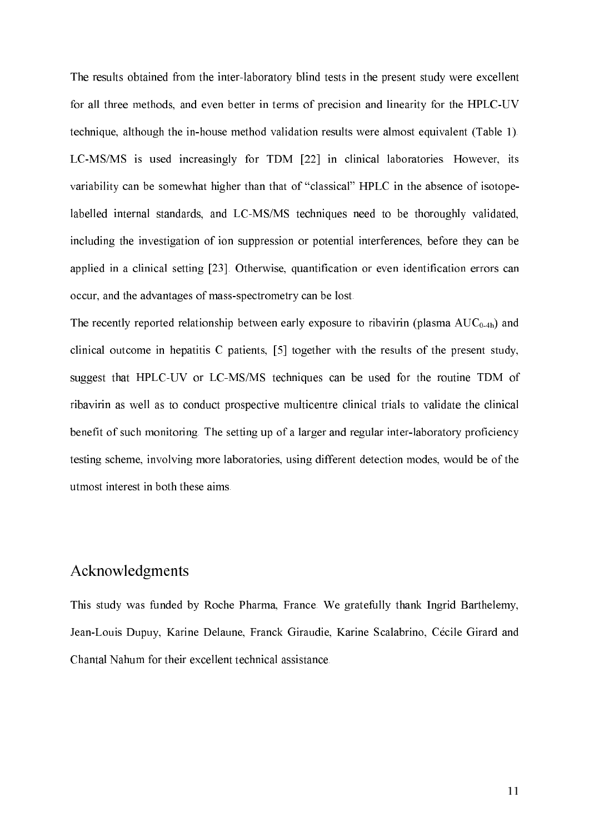The results obtained from the inter-laboratory blind tests in the present study were excellent for all three methods, and even better in terms of precision and linearity for the HPLC-UV technique, although the in-house method validation results were almost equivalent (Table 1). LC)MS/MS is used increasingly for TDM [22] in clinical laboratories. However, its variability can be somewhat higher than that of "classical" HPLC in the absence of isotope) labelled internal standards, and LC-MS/MS techniques need to be thoroughly validated, including the investigation of ion suppression or potential interferences, before they can be applied in a clinical setting [23]. Otherwise, quantification or even identification errors can occur, and the advantages of mass-spectrometry can be lost.

The recently reported relationship between early exposure to ribavirin (plasma  $AUC_{0-4h}$ ) and clinical outcome in hepatitis C patients, [5] together with the results of the present study, suggest that HPLC-UV or LC-MS/MS techniques can be used for the routine TDM of ribavirin as well as to conduct prospective multicentre clinical trials to validate the clinical benefit of such monitoring. The setting up of a larger and regular inter-laboratory proficiency testing scheme, involving more laboratories, using different detection modes, would be of the utmost interest in both these aims.

# Acknowledgments

This study was funded by Roche Pharma, France. We gratefully thank Ingrid Barthelemy, Jean-Louis Dupuy, Karine Delaune, Franck Giraudie, Karine Scalabrino, Cécile Girard and Chantal Nahum for their excellent technical assistance.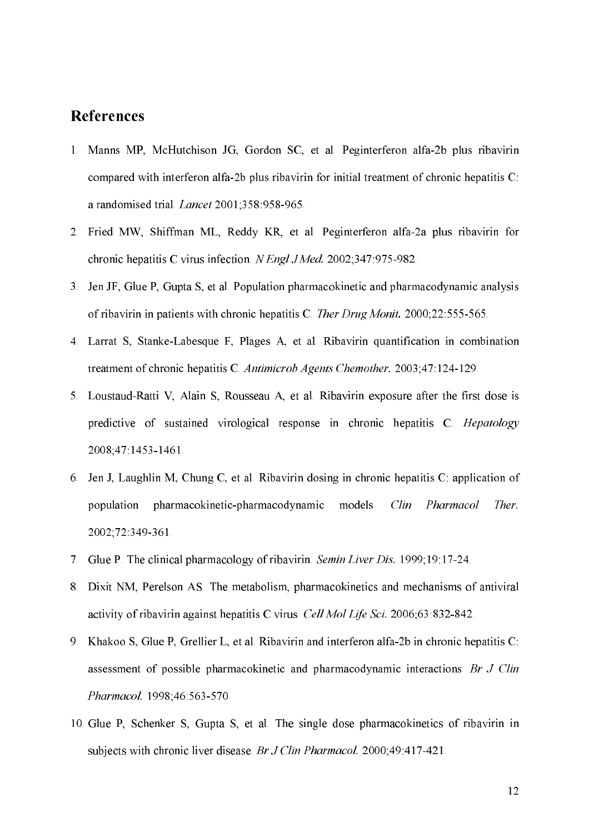#### **References**

- 1. Manns MP, McHutchison JG, Gordon SC, et al. Peginterferon alfa-2b plus ribavirin compared with interferon alfa-2b plus ribavirin for initial treatment of chronic hepatitis C: a randomised trial. *Lancet* 2001;358:958-965.
- 2. Fried MW, Shiffman ML, Reddy KR, et al. Peginterferon alfa-2a plus ribavirin for chronic hepatitis C virus infection. N Engl J Med. 2002;347:975-982.
- 3. Jen JF, Glue P, Gupta S, et al. Population pharmacokinetic and pharmacodynamic analysis of ribavirin in patients with chronic hepatitis C. Ther Drug Monit. 2000;22:555-565.
- 4. Larrat S, Stanke)Labesque F, Plages A, et al. Ribavirin quantification in combination treatment of chronic hepatitis C. Antimicrob Agents Chemother. 2003;47:124-129.
- 5. Loustaud-Ratti V, Alain S, Rousseau A, et al. Ribavirin exposure after the first dose is predictive of sustained virological response in chronic hepatitis C. Hepatology 2008;47:1453-1461.
- 6. Jen J, Laughlin M, Chung C, et al. Ribavirin dosing in chronic hepatitis C: application of population pharmacokinetic-pharmacodynamic models. Clin Pharmacol Ther. 2002;72:349-361.
- 7. Glue P. The clinical pharmacology of ribavirin. Semin Liver Dis. 1999;19:17-24.
- 8. Dixit NM, Perelson AS. The metabolism, pharmacokinetics and mechanisms of antiviral activity of ribavirin against hepatitis C virus. Cell Mol Life Sci. 2006;63:832-842.
- 9. Khakoo S, Glue P, Grellier L, et al. Ribavirin and interferon alfa-2b in chronic hepatitis C: assessment of possible pharmacokinetic and pharmacodynamic interactions. Br  $J$  Clin Pharmacol. 1998;46:563-570.
- 10.Glue P, Schenker S, Gupta S, et al. The single dose pharmacokinetics of ribavirin in subjects with chronic liver disease. Br  $J$  Clin Pharmacol. 2000;49:417-421.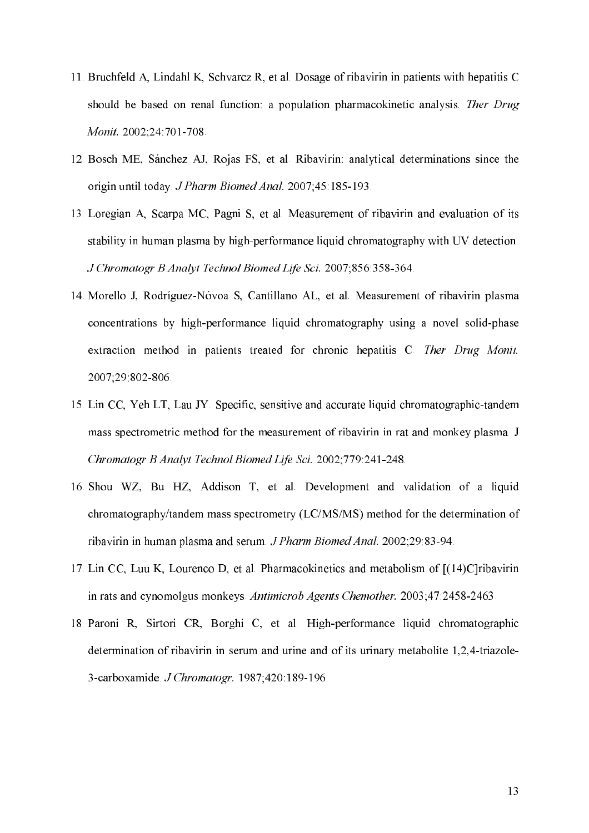- 11.Bruchfeld A, Lindahl K, Schvarcz R, et al. Dosage of ribavirin in patients with hepatitis C should be based on renal function: a population pharmacokinetic analysis. Ther Drug *Monit.* 2002;24:701-708.
- 12.Bosch ME, Sánchez AJ, Rojas FS, et al. Ribavirin: analytical determinations since the origin until today. J Pharm Biomed Anal. 2007;45:185-193.
- 13.Loregian A, Scarpa MC, Pagni S, et al. Measurement of ribavirin and evaluation of its stability in human plasma by high-performance liquid chromatography with UV detection. J Chromatogr B Analyt Technol Biomed Life Sci. 2007;856:358-364.
- 14. Morello J, Rodríguez-Nóvoa S, Cantillano AL, et al. Measurement of ribavirin plasma concentrations by high-performance liquid chromatography using a novel solid-phase extraction method in patients treated for chronic hepatitis C. Ther Drug Monit. 2007;29:802-806.
- 15. Lin CC, Yeh LT, Lau JY. Specific, sensitive and accurate liquid chromatographic-tandem mass spectrometric method for the measurement of ribavirin in rat and monkey plasma. J Chromatogr B Analyt Technol Biomed Life Sci. 2002;779:241-248.
- 16.Shou WZ, Bu HZ, Addison T, et al. Development and validation of a liquid chromatography/tandem mass spectrometry (LC/MS/MS) method for the determination of ribavirin in human plasma and serum. J Pharm Biomed Anal. 2002;29:83-94.
- 17.Lin CC, Luu K, Lourenco D, et al. Pharmacokinetics and metabolism of [(14)C]ribavirin in rats and cynomolgus monkeys. Antimicrob Agents Chemother. 2003;47:2458-2463.
- 18. Paroni R, Sirtori CR, Borghi C, et al. High-performance liquid chromatographic determination of ribavirin in serum and urine and of its urinary metabolite  $1,2,4$ -triazole-3-carboxamide. *J Chromatogr*. 1987;420:189-196.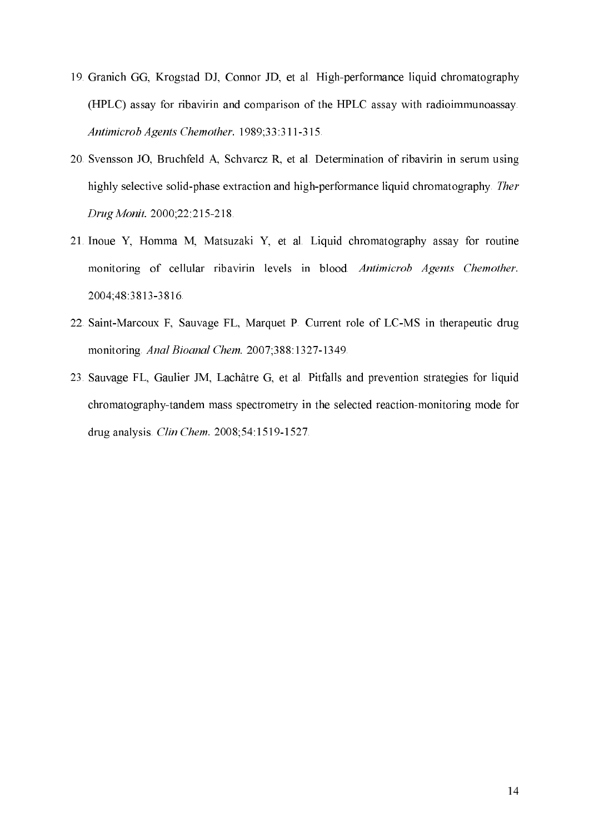- 19. Granich GG, Krogstad DJ, Connor JD, et al. High-performance liquid chromatography (HPLC) assay for ribavirin and comparison of the HPLC assay with radioimmunoassay. Antimicrob Agents Chemother. 1989;33:311-315.
- 20.Svensson JO, Bruchfeld A, Schvarcz R, et al. Determination of ribavirin in serum using highly selective solid-phase extraction and high-performance liquid chromatography. Ther Drug Monit. 2000;22:215-218.
- 21.Inoue Y, Homma M, Matsuzaki Y, et al. Liquid chromatography assay for routine monitoring of cellular ribavirin levels in blood. Antimicrob Agents Chemother. 2004;48:3813-3816.
- 22. Saint-Marcoux F, Sauvage FL, Marquet P. Current role of LC-MS in therapeutic drug monitoring. Anal Bioanal Chem. 2007;388:1327-1349.
- 23.Sauvage FL, Gaulier JM, Lachâtre G, et al. Pitfalls and prevention strategies for liquid chromatography-tandem mass spectrometry in the selected reaction-monitoring mode for drug analysis. *Clin Chem.* 2008;54:1519-1527.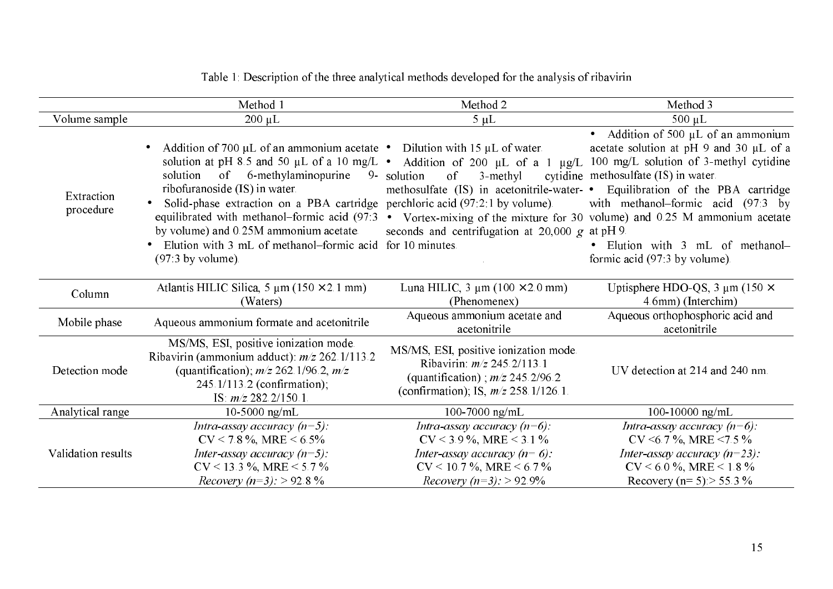|                         | Method 1                                                                                                                                                                                                                                                                                                                                                                   | Method 2                                                                                                                                                                                                | Method 3                                                                                                                                                                                                                                                                                                                                      |
|-------------------------|----------------------------------------------------------------------------------------------------------------------------------------------------------------------------------------------------------------------------------------------------------------------------------------------------------------------------------------------------------------------------|---------------------------------------------------------------------------------------------------------------------------------------------------------------------------------------------------------|-----------------------------------------------------------------------------------------------------------------------------------------------------------------------------------------------------------------------------------------------------------------------------------------------------------------------------------------------|
| Volume sample           | $200 \mu L$                                                                                                                                                                                                                                                                                                                                                                | $5 \mu L$                                                                                                                                                                                               | 500 µL                                                                                                                                                                                                                                                                                                                                        |
| Extraction<br>procedure | Addition of 700 $\mu$ L of an ammonium acetate • Dilution with 15 $\mu$ L of water.<br>solution at pH 8.5 and 50 $\mu$ L of a 10 mg/L $\bullet$<br>6-methylaminopurine<br>of<br>solution<br>$9 -$<br>ribofuranoside (IS) in water.<br>Solid-phase extraction on a PBA cartridge<br>equilibrated with methanol-formic acid (97:3)<br>by volume) and 0.25M ammonium acetate. | Addition of 200 $\mu$ L of a 1 $\mu$ g/L<br>solution<br>of<br>3-methyl<br>methosulfate (IS) in acetonitrile-water- •<br>perchloric acid (97.2.1 by volume).<br>seconds and centrifugation at $20,000 g$ | • Addition of 500 $\mu$ L of an ammonium<br>acetate solution at pH 9 and 30 µL of a<br>100 mg/L solution of 3-methyl cytidine<br>cytidine methosulfate (IS) in water.<br>Equilibration of the PBA cartridge<br>with methanol-formic acid (97:3 by<br>• Vortex-mixing of the mixture for 30 volume) and 0.25 M ammonium acetate<br>at $pH 9$ . |
|                         | Elution with 3 mL of methanol-formic acid<br>$(97.3$ by volume).                                                                                                                                                                                                                                                                                                           | for 10 minutes.                                                                                                                                                                                         | • Elution with 3 mL of methanol-<br>formic acid $(97.3$ by volume).                                                                                                                                                                                                                                                                           |
| Column                  | Atlantis HILIC Silica, 5 $\mu$ m (150 × 2.1 mm)<br>(Waters)                                                                                                                                                                                                                                                                                                                | Luna HILIC, $3 \mu m (100 \times 2.0 \text{ mm})$<br>(Phenomenex)                                                                                                                                       | Uptisphere HDO-QS, 3 $\mu$ m (150 $\times$<br>4.6mm) (Interchim)                                                                                                                                                                                                                                                                              |
| Mobile phase            | Aqueous ammonium formate and acetonitrile                                                                                                                                                                                                                                                                                                                                  | Aqueous ammonium acetate and<br>acetonitrile                                                                                                                                                            | Aqueous orthophosphoric acid and<br>acetonitrile                                                                                                                                                                                                                                                                                              |
| Detection mode          | MS/MS, ESI, positive ionization mode.<br>Ribavirin (ammonium adduct): $m/z$ 262.1/113.2<br>(quantification); $m/z$ 262.1/96.2, $m/z$<br>245.1/113.2 (confirmation);<br>IS: $m/z$ 282.2/150.1.                                                                                                                                                                              | MS/MS, ESI, positive ionization mode.<br>Ribavirin: $m/z$ 245.2/113.1<br>(quantification); $m/z$ 245.2/96.2<br>(confirmation); IS, $m/z$ 258.1/126.1.                                                   | UV detection at 214 and 240 nm.                                                                                                                                                                                                                                                                                                               |
| Analytical range        | 10-5000 $\text{ng/mL}$                                                                                                                                                                                                                                                                                                                                                     | 100-7000 ng/mL                                                                                                                                                                                          | 100-10000 ng/mL                                                                                                                                                                                                                                                                                                                               |
| Validation results      | Intra-assay accuracy $(n=5)$ :<br>$CV < 7.8$ %, MRE $< 6.5\%$                                                                                                                                                                                                                                                                                                              | Intra-assay accuracy $(n=6)$ :<br>$CV < 3.9 \%$ , MRE < 3.1 %                                                                                                                                           | Intra-assay accuracy $(n=6)$ :<br>CV <6.7 %, MRE <7.5 %                                                                                                                                                                                                                                                                                       |
|                         | Inter-assay accuracy $(n=5)$ :<br>$CV < 13.3$ %, MRE < 5.7 %<br><i>Recovery (n=3):</i> > 92.8 %                                                                                                                                                                                                                                                                            | Inter-assay accuracy $(n=6)$ :<br>$CV < 10.7$ %, MRE $< 6.7$ %<br><i>Recovery (n=3):</i> > 92.9%                                                                                                        | Inter-assay accuracy $(n=23)$ :<br>$CV < 6.0 \%$ , MRE < 1.8%<br>Recovery (n= 5): > 55.3 %                                                                                                                                                                                                                                                    |